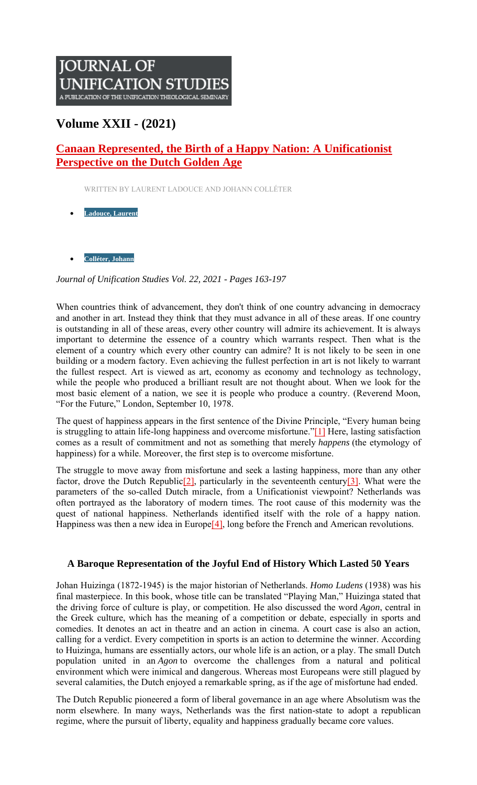# **JOURNAL OF** UNIFICATION STUDIES A PUBLICATION OF THE UNIFICATION THEOLOGICAL SEMINARY

## **Volume XXII - (2021)**

## **Canaan Represented, the Birth of a Happy Nation: A Unificationist Perspective on the Dutch Golden Age**

WRITTEN BY LAURENT LADOUCE AND JOHANN COLLÉTER

- **Ladouce, Laurent**
- **Colléter, Johann**

*Journal of Unification Studies Vol. 22, 2021 - Pages 163-197*

When countries think of advancement, they don't think of one country advancing in democracy and another in art. Instead they think that they must advance in all of these areas. If one country is outstanding in all of these areas, every other country will admire its achievement. It is always important to determine the essence of a country which warrants respect. Then what is the element of a country which every other country can admire? It is not likely to be seen in one building or a modern factory. Even achieving the fullest perfection in art is not likely to warrant the fullest respect. Art is viewed as art, economy as economy and technology as technology, while the people who produced a brilliant result are not thought about. When we look for the most basic element of a nation, we see it is people who produce a country. (Reverend Moon, "For the Future," London, September 10, 1978.

The quest of happiness appears in the first sentence of the Divine Principle, "Every human being is struggling to attain life-long happiness and overcome misfortune."[1] Here, lasting satisfaction comes as a result of commitment and not as something that merely *happens* (the etymology of happiness) for a while. Moreover, the first step is to overcome misfortune.

The struggle to move away from misfortune and seek a lasting happiness, more than any other factor, drove the Dutch Republic<sup>[2]</sup>, particularly in the seventeenth century<sup>[3]</sup>. What were the parameters of the so-called Dutch miracle, from a Unificationist viewpoint? Netherlands was often portrayed as the laboratory of modern times. The root cause of this modernity was the quest of national happiness. Netherlands identified itself with the role of a happy nation. Happiness was then a new idea in Europe<sup>[4]</sup>, long before the French and American revolutions.

## **A Baroque Representation of the Joyful End of History Which Lasted 50 Years**

Johan Huizinga (1872-1945) is the major historian of Netherlands. *Homo Ludens* (1938) was his final masterpiece. In this book, whose title can be translated "Playing Man," Huizinga stated that the driving force of culture is play, or competition. He also discussed the word *Agon*, central in the Greek culture, which has the meaning of a competition or debate, especially in sports and comedies. It denotes an act in theatre and an action in cinema. A court case is also an action, calling for a verdict. Every competition in sports is an action to determine the winner. According to Huizinga, humans are essentially actors, our whole life is an action, or a play. The small Dutch population united in an *Agon* to overcome the challenges from a natural and political environment which were inimical and dangerous. Whereas most Europeans were still plagued by several calamities, the Dutch enjoyed a remarkable spring, as if the age of misfortune had ended.

The Dutch Republic pioneered a form of liberal governance in an age where Absolutism was the norm elsewhere. In many ways, Netherlands was the first nation-state to adopt a republican regime, where the pursuit of liberty, equality and happiness gradually became core values.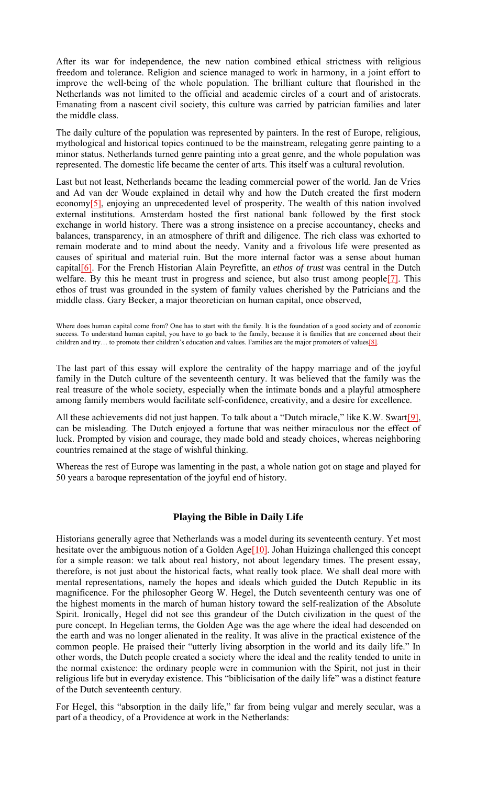After its war for independence, the new nation combined ethical strictness with religious freedom and tolerance. Religion and science managed to work in harmony, in a joint effort to improve the well-being of the whole population. The brilliant culture that flourished in the Netherlands was not limited to the official and academic circles of a court and of aristocrats. Emanating from a nascent civil society, this culture was carried by patrician families and later the middle class.

The daily culture of the population was represented by painters. In the rest of Europe, religious, mythological and historical topics continued to be the mainstream, relegating genre painting to a minor status. Netherlands turned genre painting into a great genre, and the whole population was represented. The domestic life became the center of arts. This itself was a cultural revolution.

Last but not least, Netherlands became the leading commercial power of the world. Jan de Vries and Ad van der Woude explained in detail why and how the Dutch created the first modern economy<sup>[5]</sup>, enjoying an unprecedented level of prosperity. The wealth of this nation involved external institutions. Amsterdam hosted the first national bank followed by the first stock exchange in world history. There was a strong insistence on a precise accountancy, checks and balances, transparency, in an atmosphere of thrift and diligence. The rich class was exhorted to remain moderate and to mind about the needy. Vanity and a frivolous life were presented as causes of spiritual and material ruin. But the more internal factor was a sense about human capital[6]. For the French Historian Alain Peyrefitte, an *ethos of trust* was central in the Dutch welfare. By this he meant trust in progress and science, but also trust among people<sup>[7]</sup>. This ethos of trust was grounded in the system of family values cherished by the Patricians and the middle class. Gary Becker, a major theoretician on human capital, once observed,

Where does human capital come from? One has to start with the family. It is the foundation of a good society and of economic success. To understand human capital, you have to go back to the family, because it is families that are concerned about their children and try... to promote their children's education and values. Families are the major promoters of values[8].

The last part of this essay will explore the centrality of the happy marriage and of the joyful family in the Dutch culture of the seventeenth century. It was believed that the family was the real treasure of the whole society, especially when the intimate bonds and a playful atmosphere among family members would facilitate self-confidence, creativity, and a desire for excellence.

All these achievements did not just happen. To talk about a "Dutch miracle," like K.W. Swart<sup>[9]</sup>, can be misleading. The Dutch enjoyed a fortune that was neither miraculous nor the effect of luck. Prompted by vision and courage, they made bold and steady choices, whereas neighboring countries remained at the stage of wishful thinking.

Whereas the rest of Europe was lamenting in the past, a whole nation got on stage and played for 50 years a baroque representation of the joyful end of history.

## **Playing the Bible in Daily Life**

Historians generally agree that Netherlands was a model during its seventeenth century. Yet most hesitate over the ambiguous notion of a Golden Age<sup>[10]</sup>. Johan Huizinga challenged this concept for a simple reason: we talk about real history, not about legendary times. The present essay, therefore, is not just about the historical facts, what really took place. We shall deal more with mental representations, namely the hopes and ideals which guided the Dutch Republic in its magnificence. For the philosopher Georg W. Hegel, the Dutch seventeenth century was one of the highest moments in the march of human history toward the self-realization of the Absolute Spirit. Ironically, Hegel did not see this grandeur of the Dutch civilization in the quest of the pure concept. In Hegelian terms, the Golden Age was the age where the ideal had descended on the earth and was no longer alienated in the reality. It was alive in the practical existence of the common people. He praised their "utterly living absorption in the world and its daily life." In other words, the Dutch people created a society where the ideal and the reality tended to unite in the normal existence: the ordinary people were in communion with the Spirit, not just in their religious life but in everyday existence. This "biblicisation of the daily life" was a distinct feature of the Dutch seventeenth century.

For Hegel, this "absorption in the daily life," far from being vulgar and merely secular, was a part of a theodicy, of a Providence at work in the Netherlands: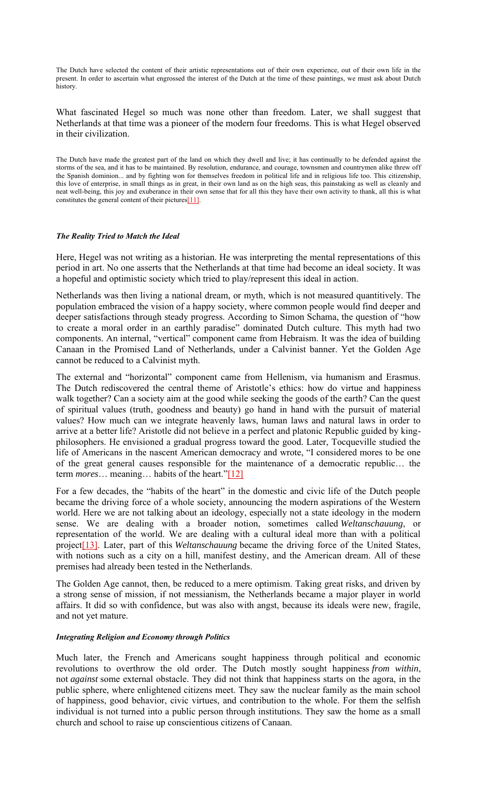The Dutch have selected the content of their artistic representations out of their own experience, out of their own life in the present. In order to ascertain what engrossed the interest of the Dutch at the time of these paintings, we must ask about Dutch history.

What fascinated Hegel so much was none other than freedom. Later, we shall suggest that Netherlands at that time was a pioneer of the modern four freedoms. This is what Hegel observed in their civilization.

The Dutch have made the greatest part of the land on which they dwell and live; it has continually to be defended against the storms of the sea, and it has to be maintained. By resolution, endurance, and courage, townsmen and countrymen alike threw off the Spanish dominion... and by fighting won for themselves freedom in political life and in religious life too. This citizenship, this love of enterprise, in small things as in great, in their own land as on the high seas, this painstaking as well as cleanly and neat well-being, this joy and exuberance in their own sense that for all this they have their own activity to thank, all this is what constitutes the general content of their pictures<sup>[11]</sup>.

#### *The Reality Tried to Match the Ideal*

Here, Hegel was not writing as a historian. He was interpreting the mental representations of this period in art. No one asserts that the Netherlands at that time had become an ideal society. It was a hopeful and optimistic society which tried to play/represent this ideal in action.

Netherlands was then living a national dream, or myth, which is not measured quantitively. The population embraced the vision of a happy society, where common people would find deeper and deeper satisfactions through steady progress. According to Simon Schama, the question of "how to create a moral order in an earthly paradise" dominated Dutch culture. This myth had two components. An internal, "vertical" component came from Hebraism. It was the idea of building Canaan in the Promised Land of Netherlands, under a Calvinist banner. Yet the Golden Age cannot be reduced to a Calvinist myth.

The external and "horizontal" component came from Hellenism, via humanism and Erasmus. The Dutch rediscovered the central theme of Aristotle's ethics: how do virtue and happiness walk together? Can a society aim at the good while seeking the goods of the earth? Can the quest of spiritual values (truth, goodness and beauty) go hand in hand with the pursuit of material values? How much can we integrate heavenly laws, human laws and natural laws in order to arrive at a better life? Aristotle did not believe in a perfect and platonic Republic guided by kingphilosophers. He envisioned a gradual progress toward the good. Later, Tocqueville studied the life of Americans in the nascent American democracy and wrote, "I considered mores to be one of the great general causes responsible for the maintenance of a democratic republic… the term *mores*… meaning… habits of the heart."[12]

For a few decades, the "habits of the heart" in the domestic and civic life of the Dutch people became the driving force of a whole society, announcing the modern aspirations of the Western world. Here we are not talking about an ideology, especially not a state ideology in the modern sense. We are dealing with a broader notion, sometimes called *Weltanschauung*, or representation of the world. We are dealing with a cultural ideal more than with a political project[13]. Later, part of this *Weltanschauung* became the driving force of the United States, with notions such as a city on a hill, manifest destiny, and the American dream. All of these premises had already been tested in the Netherlands.

The Golden Age cannot, then, be reduced to a mere optimism. Taking great risks, and driven by a strong sense of mission, if not messianism, the Netherlands became a major player in world affairs. It did so with confidence, but was also with angst, because its ideals were new, fragile, and not yet mature.

#### *Integrating Religion and Economy through Politics*

Much later, the French and Americans sought happiness through political and economic revolutions to overthrow the old order. The Dutch mostly sought happiness *from within*, not *against* some external obstacle. They did not think that happiness starts on the agora, in the public sphere, where enlightened citizens meet. They saw the nuclear family as the main school of happiness, good behavior, civic virtues, and contribution to the whole. For them the selfish individual is not turned into a public person through institutions. They saw the home as a small church and school to raise up conscientious citizens of Canaan.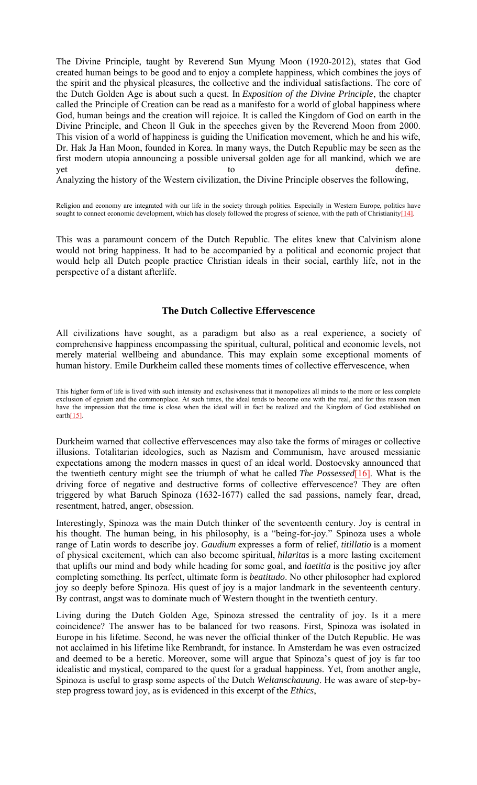The Divine Principle, taught by Reverend Sun Myung Moon (1920-2012), states that God created human beings to be good and to enjoy a complete happiness, which combines the joys of the spirit and the physical pleasures, the collective and the individual satisfactions. The core of the Dutch Golden Age is about such a quest. In *Exposition of the Divine Principle*, the chapter called the Principle of Creation can be read as a manifesto for a world of global happiness where God, human beings and the creation will rejoice. It is called the Kingdom of God on earth in the Divine Principle, and Cheon Il Guk in the speeches given by the Reverend Moon from 2000. This vision of a world of happiness is guiding the Unification movement, which he and his wife, Dr. Hak Ja Han Moon, founded in Korea. In many ways, the Dutch Republic may be seen as the first modern utopia announcing a possible universal golden age for all mankind, which we are yet to the define.

Analyzing the history of the Western civilization, the Divine Principle observes the following,

Religion and economy are integrated with our life in the society through politics. Especially in Western Europe, politics have sought to connect economic development, which has closely followed the progress of science, with the path of Christianity[14].

This was a paramount concern of the Dutch Republic. The elites knew that Calvinism alone would not bring happiness. It had to be accompanied by a political and economic project that would help all Dutch people practice Christian ideals in their social, earthly life, not in the perspective of a distant afterlife.

#### **The Dutch Collective Effervescence**

All civilizations have sought, as a paradigm but also as a real experience, a society of comprehensive happiness encompassing the spiritual, cultural, political and economic levels, not merely material wellbeing and abundance. This may explain some exceptional moments of human history. Emile Durkheim called these moments times of collective effervescence, when

Durkheim warned that collective effervescences may also take the forms of mirages or collective illusions. Totalitarian ideologies, such as Nazism and Communism, have aroused messianic expectations among the modern masses in quest of an ideal world. Dostoevsky announced that the twentieth century might see the triumph of what he called *The Possessed*[16]. What is the driving force of negative and destructive forms of collective effervescence? They are often triggered by what Baruch Spinoza (1632-1677) called the sad passions, namely fear, dread, resentment, hatred, anger, obsession.

Interestingly, Spinoza was the main Dutch thinker of the seventeenth century. Joy is central in his thought. The human being, in his philosophy, is a "being-for-joy." Spinoza uses a whole range of Latin words to describe joy. *Gaudium* expresses a form of relief, *titillatio* is a moment of physical excitement, which can also become spiritual, *hilaritas* is a more lasting excitement that uplifts our mind and body while heading for some goal, and *laetitia* is the positive joy after completing something. Its perfect, ultimate form is *beatitudo*. No other philosopher had explored joy so deeply before Spinoza. His quest of joy is a major landmark in the seventeenth century. By contrast, angst was to dominate much of Western thought in the twentieth century.

Living during the Dutch Golden Age, Spinoza stressed the centrality of joy. Is it a mere coincidence? The answer has to be balanced for two reasons. First, Spinoza was isolated in Europe in his lifetime. Second, he was never the official thinker of the Dutch Republic. He was not acclaimed in his lifetime like Rembrandt, for instance. In Amsterdam he was even ostracized and deemed to be a heretic. Moreover, some will argue that Spinoza's quest of joy is far too idealistic and mystical, compared to the quest for a gradual happiness. Yet, from another angle, Spinoza is useful to grasp some aspects of the Dutch *Weltanschauung*. He was aware of step-bystep progress toward joy, as is evidenced in this excerpt of the *Ethics*,

This higher form of life is lived with such intensity and exclusiveness that it monopolizes all minds to the more or less complete exclusion of egoism and the commonplace. At such times, the ideal tends to become one with the real, and for this reason men have the impression that the time is close when the ideal will in fact be realized and the Kingdom of God established on earth $[15]$ .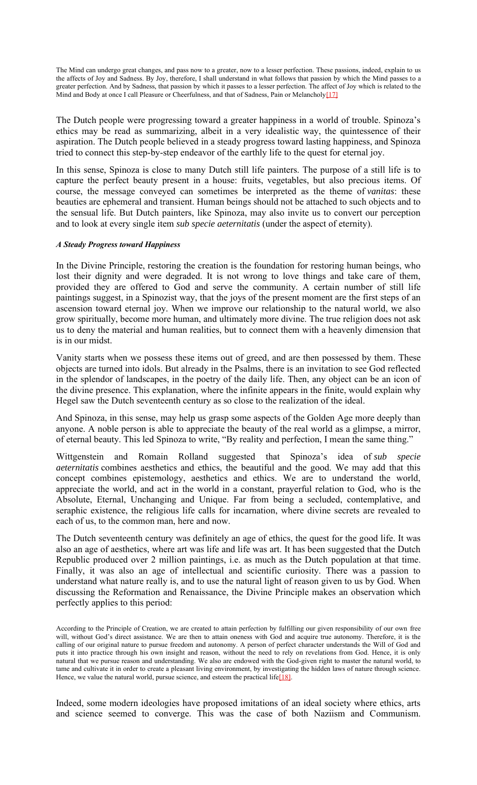The Mind can undergo great changes, and pass now to a greater, now to a lesser perfection. These passions, indeed, explain to us the affects of Joy and Sadness. By Joy, therefore, I shall understand in what follows that passion by which the Mind passes to a greater perfection. And by Sadness, that passion by which it passes to a lesser perfection. The affect of Joy which is related to the Mind and Body at once I call Pleasure or Cheerfulness, and that of Sadness, Pain or Melancholy<sup>[17]</sup>

The Dutch people were progressing toward a greater happiness in a world of trouble. Spinoza's ethics may be read as summarizing, albeit in a very idealistic way, the quintessence of their aspiration. The Dutch people believed in a steady progress toward lasting happiness, and Spinoza tried to connect this step-by-step endeavor of the earthly life to the quest for eternal joy.

In this sense, Spinoza is close to many Dutch still life painters. The purpose of a still life is to capture the perfect beauty present in a house: fruits, vegetables, but also precious items. Of course, the message conveyed can sometimes be interpreted as the theme of *vanitas*: these beauties are ephemeral and transient. Human beings should not be attached to such objects and to the sensual life. But Dutch painters, like Spinoza, may also invite us to convert our perception and to look at every single item *sub specie aeternitatis* (under the aspect of eternity).

#### *A Steady Progress toward Happiness*

In the Divine Principle, restoring the creation is the foundation for restoring human beings, who lost their dignity and were degraded. It is not wrong to love things and take care of them, provided they are offered to God and serve the community. A certain number of still life paintings suggest, in a Spinozist way, that the joys of the present moment are the first steps of an ascension toward eternal joy. When we improve our relationship to the natural world, we also grow spiritually, become more human, and ultimately more divine. The true religion does not ask us to deny the material and human realities, but to connect them with a heavenly dimension that is in our midst.

Vanity starts when we possess these items out of greed, and are then possessed by them. These objects are turned into idols. But already in the Psalms, there is an invitation to see God reflected in the splendor of landscapes, in the poetry of the daily life. Then, any object can be an icon of the divine presence. This explanation, where the infinite appears in the finite, would explain why Hegel saw the Dutch seventeenth century as so close to the realization of the ideal.

And Spinoza, in this sense, may help us grasp some aspects of the Golden Age more deeply than anyone. A noble person is able to appreciate the beauty of the real world as a glimpse, a mirror, of eternal beauty. This led Spinoza to write, "By reality and perfection, I mean the same thing."

Wittgenstein and Romain Rolland suggested that Spinoza's idea of *sub specie aeternitatis* combines aesthetics and ethics, the beautiful and the good. We may add that this concept combines epistemology, aesthetics and ethics. We are to understand the world, appreciate the world, and act in the world in a constant, prayerful relation to God, who is the Absolute, Eternal, Unchanging and Unique. Far from being a secluded, contemplative, and seraphic existence, the religious life calls for incarnation, where divine secrets are revealed to each of us, to the common man, here and now.

The Dutch seventeenth century was definitely an age of ethics, the quest for the good life. It was also an age of aesthetics, where art was life and life was art. It has been suggested that the Dutch Republic produced over 2 million paintings, i.e. as much as the Dutch population at that time. Finally, it was also an age of intellectual and scientific curiosity. There was a passion to understand what nature really is, and to use the natural light of reason given to us by God. When discussing the Reformation and Renaissance, the Divine Principle makes an observation which perfectly applies to this period:

Indeed, some modern ideologies have proposed imitations of an ideal society where ethics, arts and science seemed to converge. This was the case of both Naziism and Communism.

According to the Principle of Creation, we are created to attain perfection by fulfilling our given responsibility of our own free will, without God's direct assistance. We are then to attain oneness with God and acquire true autonomy. Therefore, it is the calling of our original nature to pursue freedom and autonomy. A person of perfect character understands the Will of God and puts it into practice through his own insight and reason, without the need to rely on revelations from God. Hence, it is only natural that we pursue reason and understanding. We also are endowed with the God-given right to master the natural world, to tame and cultivate it in order to create a pleasant living environment, by investigating the hidden laws of nature through science. Hence, we value the natural world, pursue science, and esteem the practical life<sup>[18]</sup>.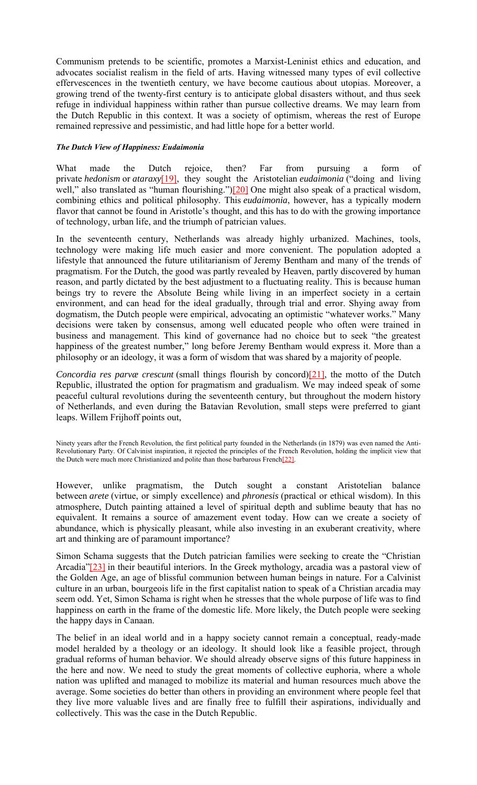Communism pretends to be scientific, promotes a Marxist-Leninist ethics and education, and advocates socialist realism in the field of arts. Having witnessed many types of evil collective effervescences in the twentieth century, we have become cautious about utopias. Moreover, a growing trend of the twenty-first century is to anticipate global disasters without, and thus seek refuge in individual happiness within rather than pursue collective dreams. We may learn from the Dutch Republic in this context. It was a society of optimism, whereas the rest of Europe remained repressive and pessimistic, and had little hope for a better world.

#### *The Dutch View of Happiness: Eudaimonia*

What made the Dutch rejoice, then? Far from pursuing a form of private *hedonism* or *ataraxy*[19], they sought the Aristotelian *eudaimonia* ("doing and living well," also translated as "human flourishing.")[20] One might also speak of a practical wisdom, combining ethics and political philosophy. This *eudaimonia*, however, has a typically modern flavor that cannot be found in Aristotle's thought, and this has to do with the growing importance of technology, urban life, and the triumph of patrician values.

In the seventeenth century, Netherlands was already highly urbanized. Machines, tools, technology were making life much easier and more convenient. The population adopted a lifestyle that announced the future utilitarianism of Jeremy Bentham and many of the trends of pragmatism. For the Dutch, the good was partly revealed by Heaven, partly discovered by human reason, and partly dictated by the best adjustment to a fluctuating reality. This is because human beings try to revere the Absolute Being while living in an imperfect society in a certain environment, and can head for the ideal gradually, through trial and error. Shying away from dogmatism, the Dutch people were empirical, advocating an optimistic "whatever works." Many decisions were taken by consensus, among well educated people who often were trained in business and management. This kind of governance had no choice but to seek "the greatest happiness of the greatest number," long before Jeremy Bentham would express it. More than a philosophy or an ideology, it was a form of wisdom that was shared by a majority of people.

*Concordia res parvæ crescunt* (small things flourish by concord)[21], the motto of the Dutch Republic, illustrated the option for pragmatism and gradualism. We may indeed speak of some peaceful cultural revolutions during the seventeenth century, but throughout the modern history of Netherlands, and even during the Batavian Revolution, small steps were preferred to giant leaps. Willem Frijhoff points out,

Ninety years after the French Revolution, the first political party founded in the Netherlands (in 1879) was even named the Anti-Revolutionary Party. Of Calvinist inspiration, it rejected the principles of the French Revolution, holding the implicit view that the Dutch were much more Christianized and polite than those barbarous French[22].

However, unlike pragmatism, the Dutch sought a constant Aristotelian balance between *arete* (virtue, or simply excellence) and *phronesis* (practical or ethical wisdom). In this atmosphere, Dutch painting attained a level of spiritual depth and sublime beauty that has no equivalent. It remains a source of amazement event today. How can we create a society of abundance, which is physically pleasant, while also investing in an exuberant creativity, where art and thinking are of paramount importance?

Simon Schama suggests that the Dutch patrician families were seeking to create the "Christian Arcadia"[23] in their beautiful interiors. In the Greek mythology, arcadia was a pastoral view of the Golden Age, an age of blissful communion between human beings in nature. For a Calvinist culture in an urban, bourgeois life in the first capitalist nation to speak of a Christian arcadia may seem odd. Yet, Simon Schama is right when he stresses that the whole purpose of life was to find happiness on earth in the frame of the domestic life. More likely, the Dutch people were seeking the happy days in Canaan.

The belief in an ideal world and in a happy society cannot remain a conceptual, ready-made model heralded by a theology or an ideology. It should look like a feasible project, through gradual reforms of human behavior. We should already observe signs of this future happiness in the here and now. We need to study the great moments of collective euphoria, where a whole nation was uplifted and managed to mobilize its material and human resources much above the average. Some societies do better than others in providing an environment where people feel that they live more valuable lives and are finally free to fulfill their aspirations, individually and collectively. This was the case in the Dutch Republic.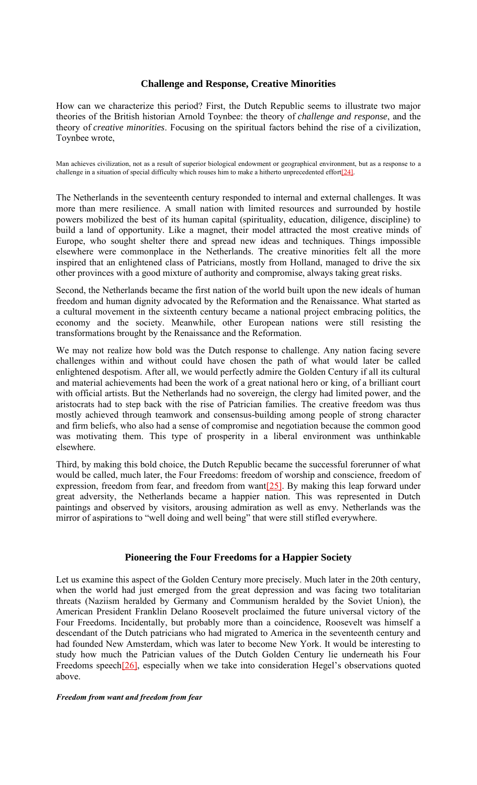### **Challenge and Response, Creative Minorities**

How can we characterize this period? First, the Dutch Republic seems to illustrate two major theories of the British historian Arnold Toynbee: the theory of *challenge and response*, and the theory of *creative minorities*. Focusing on the spiritual factors behind the rise of a civilization, Toynbee wrote,

Man achieves civilization, not as a result of superior biological endowment or geographical environment, but as a response to a challenge in a situation of special difficulty which rouses him to make a hitherto unprecedented effort[24].

The Netherlands in the seventeenth century responded to internal and external challenges. It was more than mere resilience. A small nation with limited resources and surrounded by hostile powers mobilized the best of its human capital (spirituality, education, diligence, discipline) to build a land of opportunity. Like a magnet, their model attracted the most creative minds of Europe, who sought shelter there and spread new ideas and techniques. Things impossible elsewhere were commonplace in the Netherlands. The creative minorities felt all the more inspired that an enlightened class of Patricians, mostly from Holland, managed to drive the six other provinces with a good mixture of authority and compromise, always taking great risks.

Second, the Netherlands became the first nation of the world built upon the new ideals of human freedom and human dignity advocated by the Reformation and the Renaissance. What started as a cultural movement in the sixteenth century became a national project embracing politics, the economy and the society. Meanwhile, other European nations were still resisting the transformations brought by the Renaissance and the Reformation.

We may not realize how bold was the Dutch response to challenge. Any nation facing severe challenges within and without could have chosen the path of what would later be called enlightened despotism. After all, we would perfectly admire the Golden Century if all its cultural and material achievements had been the work of a great national hero or king, of a brilliant court with official artists. But the Netherlands had no sovereign, the clergy had limited power, and the aristocrats had to step back with the rise of Patrician families. The creative freedom was thus mostly achieved through teamwork and consensus-building among people of strong character and firm beliefs, who also had a sense of compromise and negotiation because the common good was motivating them. This type of prosperity in a liberal environment was unthinkable elsewhere.

Third, by making this bold choice, the Dutch Republic became the successful forerunner of what would be called, much later, the Four Freedoms: freedom of worship and conscience, freedom of expression, freedom from fear, and freedom from want $[25]$ . By making this leap forward under great adversity, the Netherlands became a happier nation. This was represented in Dutch paintings and observed by visitors, arousing admiration as well as envy. Netherlands was the mirror of aspirations to "well doing and well being" that were still stifled everywhere.

## **Pioneering the Four Freedoms for a Happier Society**

Let us examine this aspect of the Golden Century more precisely. Much later in the 20th century, when the world had just emerged from the great depression and was facing two totalitarian threats (Naziism heralded by Germany and Communism heralded by the Soviet Union), the American President Franklin Delano Roosevelt proclaimed the future universal victory of the Four Freedoms. Incidentally, but probably more than a coincidence, Roosevelt was himself a descendant of the Dutch patricians who had migrated to America in the seventeenth century and had founded New Amsterdam, which was later to become New York. It would be interesting to study how much the Patrician values of the Dutch Golden Century lie underneath his Four Freedoms speech<sup>[26]</sup>, especially when we take into consideration Hegel's observations quoted above.

#### *Freedom from want and freedom from fear*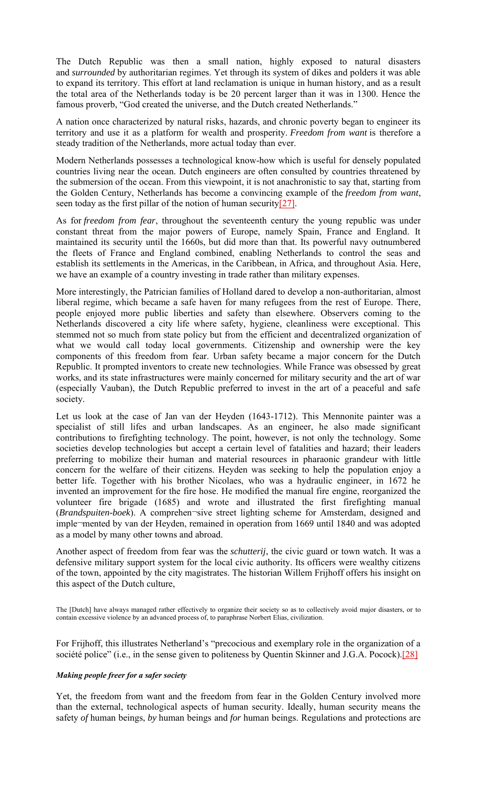The Dutch Republic was then a small nation, highly exposed to natural disasters and *surrounded* by authoritarian regimes. Yet through its system of dikes and polders it was able to expand its territory. This effort at land reclamation is unique in human history, and as a result the total area of the Netherlands today is be 20 percent larger than it was in 1300. Hence the famous proverb, "God created the universe, and the Dutch created Netherlands."

A nation once characterized by natural risks, hazards, and chronic poverty began to engineer its territory and use it as a platform for wealth and prosperity. *Freedom from want* is therefore a steady tradition of the Netherlands, more actual today than ever.

Modern Netherlands possesses a technological know-how which is useful for densely populated countries living near the ocean. Dutch engineers are often consulted by countries threatened by the submersion of the ocean. From this viewpoint, it is not anachronistic to say that, starting from the Golden Century, Netherlands has become a convincing example of the *freedom from want*, seen today as the first pillar of the notion of human security[27].

As for *freedom from fear*, throughout the seventeenth century the young republic was under constant threat from the major powers of Europe, namely Spain, France and England. It maintained its security until the 1660s, but did more than that. Its powerful navy outnumbered the fleets of France and England combined, enabling Netherlands to control the seas and establish its settlements in the Americas, in the Caribbean, in Africa, and throughout Asia. Here, we have an example of a country investing in trade rather than military expenses.

More interestingly, the Patrician families of Holland dared to develop a non-authoritarian, almost liberal regime, which became a safe haven for many refugees from the rest of Europe. There, people enjoyed more public liberties and safety than elsewhere. Observers coming to the Netherlands discovered a city life where safety, hygiene, cleanliness were exceptional. This stemmed not so much from state policy but from the efficient and decentralized organization of what we would call today local governments. Citizenship and ownership were the key components of this freedom from fear. Urban safety became a major concern for the Dutch Republic. It prompted inventors to create new technologies. While France was obsessed by great works, and its state infrastructures were mainly concerned for military security and the art of war (especially Vauban), the Dutch Republic preferred to invest in the art of a peaceful and safe society.

Let us look at the case of Jan van der Heyden (1643-1712). This Mennonite painter was a specialist of still lifes and urban landscapes. As an engineer, he also made significant contributions to firefighting technology. The point, however, is not only the technology. Some societies develop technologies but accept a certain level of fatalities and hazard; their leaders preferring to mobilize their human and material resources in pharaonic grandeur with little concern for the welfare of their citizens. Heyden was seeking to help the population enjoy a better life. Together with his brother Nicolaes, who was a hydraulic engineer, in 1672 he invented an improvement for the fire hose. He modified the manual fire engine, reorganized the volunteer fire brigade (1685) and wrote and illustrated the first firefighting manual (*Brandspuiten-boek*). A comprehen¬sive street lighting scheme for Amsterdam, designed and imple¬mented by van der Heyden, remained in operation from 1669 until 1840 and was adopted as a model by many other towns and abroad.

Another aspect of freedom from fear was the *schutterij*, the civic guard or town watch. It was a defensive military support system for the local civic authority. Its officers were wealthy citizens of the town, appointed by the city magistrates. The historian Willem Frijhoff offers his insight on this aspect of the Dutch culture,

The [Dutch] have always managed rather effectively to organize their society so as to collectively avoid major disasters, or to contain excessive violence by an advanced process of, to paraphrase Norbert Elias, civilization.

For Frijhoff, this illustrates Netherland's "precocious and exemplary role in the organization of a société police" (i.e., in the sense given to politeness by Quentin Skinner and J.G.A. Pocock).<sup>[28]</sup>

#### *Making people freer for a safer society*

Yet, the freedom from want and the freedom from fear in the Golden Century involved more than the external, technological aspects of human security. Ideally, human security means the safety *of* human beings, *by* human beings and *for* human beings. Regulations and protections are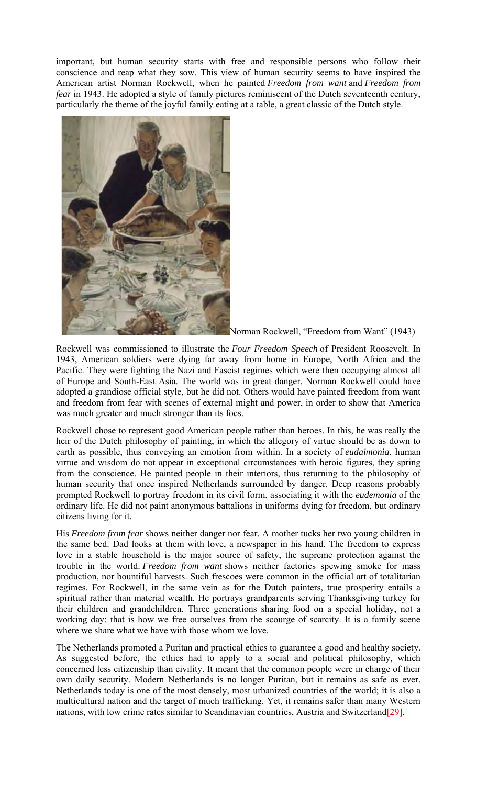important, but human security starts with free and responsible persons who follow their conscience and reap what they sow. This view of human security seems to have inspired the American artist Norman Rockwell, when he painted *Freedom from want* and *Freedom from fear* in 1943. He adopted a style of family pictures reminiscent of the Dutch seventeenth century, particularly the theme of the joyful family eating at a table, a great classic of the Dutch style.



Norman Rockwell, "Freedom from Want" (1943)

Rockwell was commissioned to illustrate the *Four Freedom Speech* of President Roosevelt. In 1943, American soldiers were dying far away from home in Europe, North Africa and the Pacific. They were fighting the Nazi and Fascist regimes which were then occupying almost all of Europe and South-East Asia. The world was in great danger. Norman Rockwell could have adopted a grandiose official style, but he did not. Others would have painted freedom from want and freedom from fear with scenes of external might and power, in order to show that America was much greater and much stronger than its foes.

Rockwell chose to represent good American people rather than heroes. In this, he was really the heir of the Dutch philosophy of painting, in which the allegory of virtue should be as down to earth as possible, thus conveying an emotion from within. In a society of *eudaimonia*, human virtue and wisdom do not appear in exceptional circumstances with heroic figures, they spring from the conscience. He painted people in their interiors, thus returning to the philosophy of human security that once inspired Netherlands surrounded by danger. Deep reasons probably prompted Rockwell to portray freedom in its civil form, associating it with the *eudemonia* of the ordinary life. He did not paint anonymous battalions in uniforms dying for freedom, but ordinary citizens living for it.

His *Freedom from fear* shows neither danger nor fear. A mother tucks her two young children in the same bed. Dad looks at them with love, a newspaper in his hand. The freedom to express love in a stable household is the major source of safety, the supreme protection against the trouble in the world. *Freedom from want* shows neither factories spewing smoke for mass production, nor bountiful harvests. Such frescoes were common in the official art of totalitarian regimes. For Rockwell, in the same vein as for the Dutch painters, true prosperity entails a spiritual rather than material wealth. He portrays grandparents serving Thanksgiving turkey for their children and grandchildren. Three generations sharing food on a special holiday, not a working day: that is how we free ourselves from the scourge of scarcity. It is a family scene where we share what we have with those whom we love.

The Netherlands promoted a Puritan and practical ethics to guarantee a good and healthy society. As suggested before, the ethics had to apply to a social and political philosophy, which concerned less citizenship than civility. It meant that the common people were in charge of their own daily security. Modern Netherlands is no longer Puritan, but it remains as safe as ever. Netherlands today is one of the most densely, most urbanized countries of the world; it is also a multicultural nation and the target of much trafficking. Yet, it remains safer than many Western nations, with low crime rates similar to Scandinavian countries, Austria and Switzerland[29].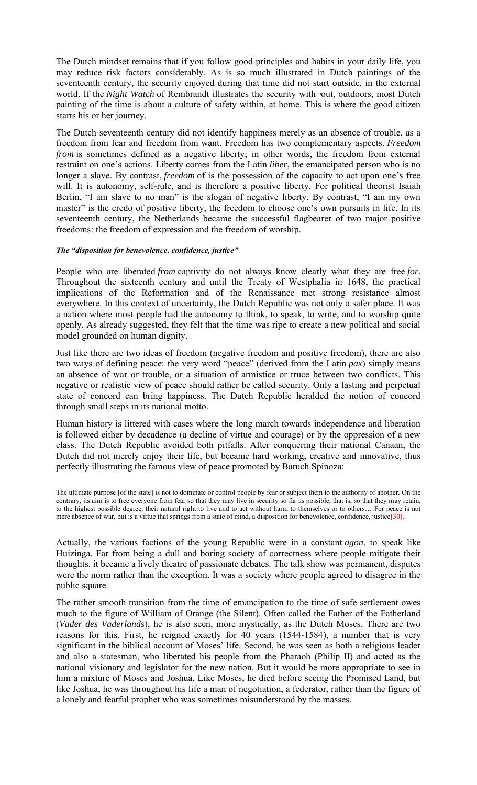The Dutch mindset remains that if you follow good principles and habits in your daily life, you may reduce risk factors considerably. As is so much illustrated in Dutch paintings of the seventeenth century, the security enjoyed during that time did not start outside, in the external world. If the *Night Watch* of Rembrandt illustrates the security with-out, outdoors, most Dutch painting of the time is about a culture of safety within, at home. This is where the good citizen starts his or her journey.

The Dutch seventeenth century did not identify happiness merely as an absence of trouble, as a freedom from fear and freedom from want. Freedom has two complementary aspects. *Freedom from* is sometimes defined as a negative liberty; in other words, the freedom from external restraint on one's actions. Liberty comes from the Latin *liber*, the emancipated person who is no longer a slave. By contrast, *freedom* of is the possession of the capacity to act upon one's free will. It is autonomy, self-rule, and is therefore a positive liberty. For political theorist Isaiah Berlin, "I am slave to no man" is the slogan of negative liberty. By contrast, "I am my own master" is the credo of positive liberty, the freedom to choose one's own pursuits in life. In its seventeenth century, the Netherlands became the successful flagbearer of two major positive freedoms: the freedom of expression and the freedom of worship.

#### *The "disposition for benevolence, confidence, justice"*

People who are liberated *from* captivity do not always know clearly what they are free *for*. Throughout the sixteenth century and until the Treaty of Westphalia in 1648, the practical implications of the Reformation and of the Renaissance met strong resistance almost everywhere. In this context of uncertainty, the Dutch Republic was not only a safer place. It was a nation where most people had the autonomy to think, to speak, to write, and to worship quite openly. As already suggested, they felt that the time was ripe to create a new political and social model grounded on human dignity.

Just like there are two ideas of freedom (negative freedom and positive freedom), there are also two ways of defining peace: the very word "peace" (derived from the Latin *pax*) simply means an absence of war or trouble, or a situation of armistice or truce between two conflicts. This negative or realistic view of peace should rather be called security. Only a lasting and perpetual state of concord can bring happiness. The Dutch Republic heralded the notion of concord through small steps in its national motto.

Human history is littered with cases where the long march towards independence and liberation is followed either by decadence (a decline of virtue and courage) or by the oppression of a new class. The Dutch Republic avoided both pitfalls. After conquering their national Canaan, the Dutch did not merely enjoy their life, but became hard working, creative and innovative, thus perfectly illustrating the famous view of peace promoted by Baruch Spinoza:

The ultimate purpose [of the state] is not to dominate or control people by fear or subject them to the authority of another. On the contrary, its aim is to free everyone from fear so that they may live in security so far as possible, that is, so that they may retain, to the highest possible degree, their natural right to live and to act without harm to themselves or to others… For peace is not mere absence of war, but is a virtue that springs from a state of mind, a disposition for benevolence, confidence, justice[30].

Actually, the various factions of the young Republic were in a constant *agon*, to speak like Huizinga. Far from being a dull and boring society of correctness where people mitigate their thoughts, it became a lively theatre of passionate debates. The talk show was permanent, disputes were the norm rather than the exception. It was a society where people agreed to disagree in the public square.

The rather smooth transition from the time of emancipation to the time of safe settlement owes much to the figure of William of Orange (the Silent). Often called the Father of the Fatherland (*Vader des Vaderlands*), he is also seen, more mystically, as the Dutch Moses. There are two reasons for this. First, he reigned exactly for 40 years (1544-1584), a number that is very significant in the biblical account of Moses' life. Second, he was seen as both a religious leader and also a statesman, who liberated his people from the Pharaoh (Philip II) and acted as the national visionary and legislator for the new nation. But it would be more appropriate to see in him a mixture of Moses and Joshua. Like Moses, he died before seeing the Promised Land, but like Joshua, he was throughout his life a man of negotiation, a federator, rather than the figure of a lonely and fearful prophet who was sometimes misunderstood by the masses.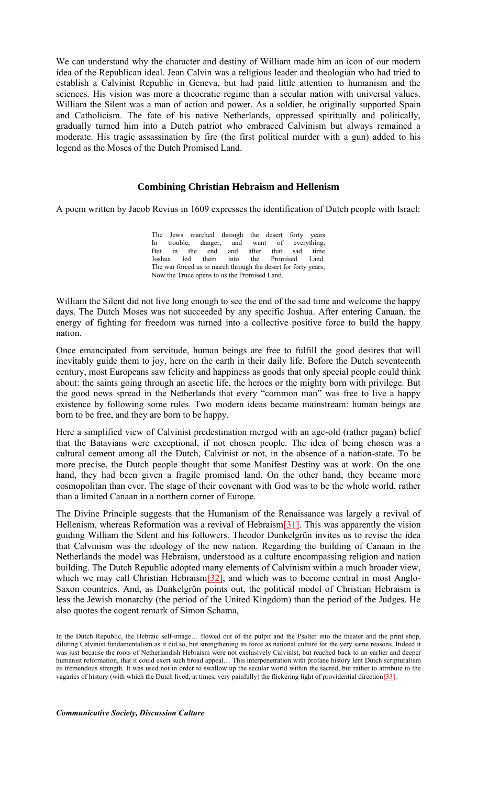We can understand why the character and destiny of William made him an icon of our modern idea of the Republican ideal. Jean Calvin was a religious leader and theologian who had tried to establish a Calvinist Republic in Geneva, but had paid little attention to humanism and the sciences. His vision was more a theocratic regime than a secular nation with universal values. William the Silent was a man of action and power. As a soldier, he originally supported Spain and Catholicism. The fate of his native Netherlands, oppressed spiritually and politically, gradually turned him into a Dutch patriot who embraced Calvinism but always remained a moderate. His tragic assassination by fire (the first political murder with a gun) added to his legend as the Moses of the Dutch Promised Land.

### **Combining Christian Hebraism and Hellenism**

A poem written by Jacob Revius in 1609 expresses the identification of Dutch people with Israel:

The Jews marched through the desert forty years In trouble, danger, and want of everything,<br>But in the end and after that sad time But in the end and after that sad time<br>Joshua led them into the Promised Land. Promised The war forced us to march through the desert for forty years; Now the Truce opens to us the Promised Land.

William the Silent did not live long enough to see the end of the sad time and welcome the happy days. The Dutch Moses was not succeeded by any specific Joshua. After entering Canaan, the energy of fighting for freedom was turned into a collective positive force to build the happy nation.

Once emancipated from servitude, human beings are free to fulfill the good desires that will inevitably guide them to joy, here on the earth in their daily life. Before the Dutch seventeenth century, most Europeans saw felicity and happiness as goods that only special people could think about: the saints going through an ascetic life, the heroes or the mighty born with privilege. But the good news spread in the Netherlands that every "common man" was free to live a happy existence by following some rules. Two modern ideas became mainstream: human beings are born to be free, and they are born to be happy.

Here a simplified view of Calvinist predestination merged with an age-old (rather pagan) belief that the Batavians were exceptional, if not chosen people. The idea of being chosen was a cultural cement among all the Dutch, Calvinist or not, in the absence of a nation-state. To be more precise, the Dutch people thought that some Manifest Destiny was at work. On the one hand, they had been given a fragile promised land. On the other hand, they became more cosmopolitan than ever. The stage of their covenant with God was to be the whole world, rather than a limited Canaan in a northern corner of Europe.

The Divine Principle suggests that the Humanism of the Renaissance was largely a revival of Hellenism, whereas Reformation was a revival of Hebraism<sup>[31]</sup>. This was apparently the vision guiding William the Silent and his followers. Theodor Dunkelgrün invites us to revise the idea that Calvinism was the ideology of the new nation. Regarding the building of Canaan in the Netherlands the model was Hebraism, understood as a culture encompassing religion and nation building. The Dutch Republic adopted many elements of Calvinism within a much broader view, which we may call Christian Hebraism<sup>[32]</sup>, and which was to become central in most Anglo-Saxon countries. And, as Dunkelgrün points out, the political model of Christian Hebraism is less the Jewish monarchy (the period of the United Kingdom) than the period of the Judges. He also quotes the cogent remark of Simon Schama,

In the Dutch Republic, the Hebraic self-image... flowed out of the pulpit and the Psalter into the theater and the print shop, diluting Calvinist fundamentalism as it did so, but strengthening its force as national culture for the very same reasons. Indeed it was just because the roots of Netherlandish Hebraism were not exclusively Calvinist, but reached back to an earlier and deeper humanist reformation, that it could exert such broad appeal… This interpenetration with profane history lent Dutch scripturalism its tremendous strength. It was used not in order to swallow up the secular world within the sacred, but rather to attribute to the vagaries of history (with which the Dutch lived, at times, very painfully) the flickering light of providential direction[33].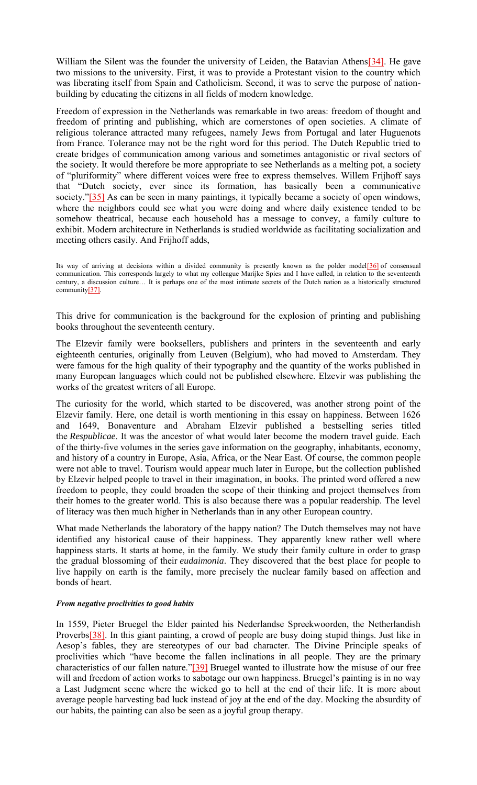William the Silent was the founder the university of Leiden, the Batavian Athens<sup>[34]</sup>. He gave two missions to the university. First, it was to provide a Protestant vision to the country which was liberating itself from Spain and Catholicism. Second, it was to serve the purpose of nationbuilding by educating the citizens in all fields of modern knowledge.

Freedom of expression in the Netherlands was remarkable in two areas: freedom of thought and freedom of printing and publishing, which are cornerstones of open societies. A climate of religious tolerance attracted many refugees, namely Jews from Portugal and later Huguenots from France. Tolerance may not be the right word for this period. The Dutch Republic tried to create bridges of communication among various and sometimes antagonistic or rival sectors of the society. It would therefore be more appropriate to see Netherlands as a melting pot, a society of "pluriformity" where different voices were free to express themselves. Willem Frijhoff says that "Dutch society, ever since its formation, has basically been a communicative society."[35] As can be seen in many paintings, it typically became a society of open windows, where the neighbors could see what you were doing and where daily existence tended to be somehow theatrical, because each household has a message to convey, a family culture to exhibit. Modern architecture in Netherlands is studied worldwide as facilitating socialization and meeting others easily. And Frijhoff adds,

Its way of arriving at decisions within a divided community is presently known as the polder model<sup>[36]</sup> of consensual communication. This corresponds largely to what my colleague Marijke Spies and I have called, in relation to the seventeenth century, a discussion culture… It is perhaps one of the most intimate secrets of the Dutch nation as a historically structured community[37].

This drive for communication is the background for the explosion of printing and publishing books throughout the seventeenth century.

The Elzevir family were booksellers, publishers and printers in the seventeenth and early eighteenth centuries, originally from Leuven (Belgium), who had moved to Amsterdam. They were famous for the high quality of their typography and the quantity of the works published in many European languages which could not be published elsewhere. Elzevir was publishing the works of the greatest writers of all Europe.

The curiosity for the world, which started to be discovered, was another strong point of the Elzevir family. Here, one detail is worth mentioning in this essay on happiness. Between 1626 and 1649, Bonaventure and Abraham Elzevir published a bestselling series titled the *Respublicae*. It was the ancestor of what would later become the modern travel guide. Each of the thirty-five volumes in the series gave information on the geography, inhabitants, economy, and history of a country in Europe, Asia, Africa, or the Near East. Of course, the common people were not able to travel. Tourism would appear much later in Europe, but the collection published by Elzevir helped people to travel in their imagination, in books. The printed word offered a new freedom to people, they could broaden the scope of their thinking and project themselves from their homes to the greater world. This is also because there was a popular readership. The level of literacy was then much higher in Netherlands than in any other European country.

What made Netherlands the laboratory of the happy nation? The Dutch themselves may not have identified any historical cause of their happiness. They apparently knew rather well where happiness starts. It starts at home, in the family. We study their family culture in order to grasp the gradual blossoming of their *eudaimonia*. They discovered that the best place for people to live happily on earth is the family, more precisely the nuclear family based on affection and bonds of heart.

#### *From negative proclivities to good habits*

In 1559, Pieter Bruegel the Elder painted his Nederlandse Spreekwoorden, the Netherlandish Proverbs<sup>[38]</sup>. In this giant painting, a crowd of people are busy doing stupid things. Just like in Aesop's fables, they are stereotypes of our bad character. The Divine Principle speaks of proclivities which "have become the fallen inclinations in all people. They are the primary characteristics of our fallen nature."[39] Bruegel wanted to illustrate how the misuse of our free will and freedom of action works to sabotage our own happiness. Bruegel's painting is in no way a Last Judgment scene where the wicked go to hell at the end of their life. It is more about average people harvesting bad luck instead of joy at the end of the day. Mocking the absurdity of our habits, the painting can also be seen as a joyful group therapy.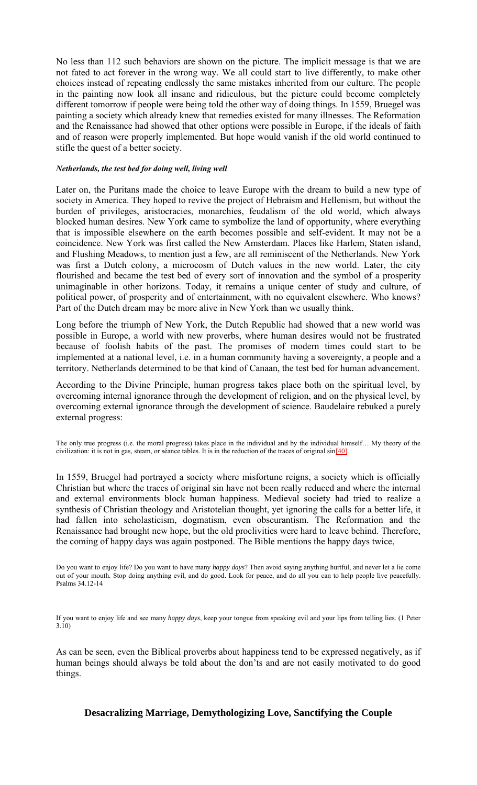No less than 112 such behaviors are shown on the picture. The implicit message is that we are not fated to act forever in the wrong way. We all could start to live differently, to make other choices instead of repeating endlessly the same mistakes inherited from our culture. The people in the painting now look all insane and ridiculous, but the picture could become completely different tomorrow if people were being told the other way of doing things. In 1559, Bruegel was painting a society which already knew that remedies existed for many illnesses. The Reformation and the Renaissance had showed that other options were possible in Europe, if the ideals of faith and of reason were properly implemented. But hope would vanish if the old world continued to stifle the quest of a better society.

#### *Netherlands, the test bed for doing well, living well*

Later on, the Puritans made the choice to leave Europe with the dream to build a new type of society in America. They hoped to revive the project of Hebraism and Hellenism, but without the burden of privileges, aristocracies, monarchies, feudalism of the old world, which always blocked human desires. New York came to symbolize the land of opportunity, where everything that is impossible elsewhere on the earth becomes possible and self-evident. It may not be a coincidence. New York was first called the New Amsterdam. Places like Harlem, Staten island, and Flushing Meadows, to mention just a few, are all reminiscent of the Netherlands. New York was first a Dutch colony, a microcosm of Dutch values in the new world. Later, the city flourished and became the test bed of every sort of innovation and the symbol of a prosperity unimaginable in other horizons. Today, it remains a unique center of study and culture, of political power, of prosperity and of entertainment, with no equivalent elsewhere. Who knows? Part of the Dutch dream may be more alive in New York than we usually think.

Long before the triumph of New York, the Dutch Republic had showed that a new world was possible in Europe, a world with new proverbs, where human desires would not be frustrated because of foolish habits of the past. The promises of modern times could start to be implemented at a national level, i.e. in a human community having a sovereignty, a people and a territory. Netherlands determined to be that kind of Canaan, the test bed for human advancement.

According to the Divine Principle, human progress takes place both on the spiritual level, by overcoming internal ignorance through the development of religion, and on the physical level, by overcoming external ignorance through the development of science. Baudelaire rebuked a purely external progress:

The only true progress (i.e. the moral progress) takes place in the individual and by the individual himself… My theory of the civilization: it is not in gas, steam, or séance tables. It is in the reduction of the traces of original sin[40].

In 1559, Bruegel had portrayed a society where misfortune reigns, a society which is officially Christian but where the traces of original sin have not been really reduced and where the internal and external environments block human happiness. Medieval society had tried to realize a synthesis of Christian theology and Aristotelian thought, yet ignoring the calls for a better life, it had fallen into scholasticism, dogmatism, even obscurantism. The Reformation and the Renaissance had brought new hope, but the old proclivities were hard to leave behind. Therefore, the coming of happy days was again postponed. The Bible mentions the happy days twice,

Do you want to enjoy life? Do you want to have many *happy days*? Then avoid saying anything hurtful, and never let a lie come out of your mouth. Stop doing anything evil, and do good. Look for peace, and do all you can to help people live peacefully. Psalms 34.12-14

If you want to enjoy life and see many *happy days*, keep your tongue from speaking evil and your lips from telling lies. (1 Peter 3.10)

As can be seen, even the Biblical proverbs about happiness tend to be expressed negatively, as if human beings should always be told about the don'ts and are not easily motivated to do good things.

## **Desacralizing Marriage, Demythologizing Love, Sanctifying the Couple**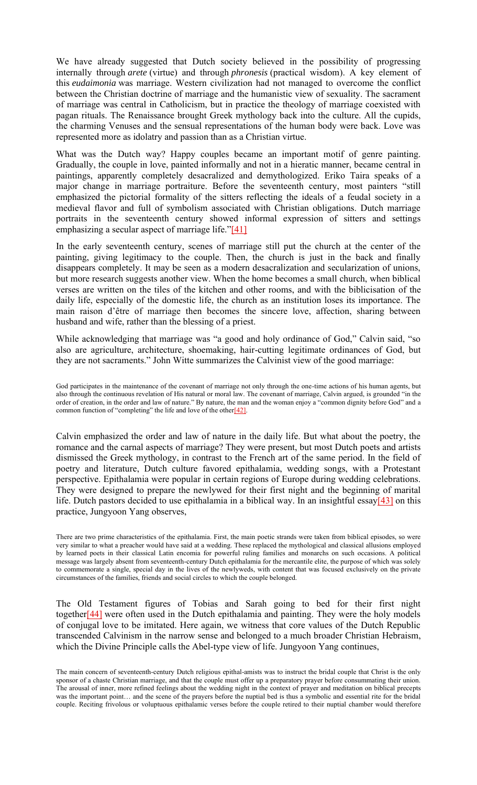We have already suggested that Dutch society believed in the possibility of progressing internally through *arete* (virtue) and through *phronesis* (practical wisdom). A key element of this *eudaimonia* was marriage. Western civilization had not managed to overcome the conflict between the Christian doctrine of marriage and the humanistic view of sexuality. The sacrament of marriage was central in Catholicism, but in practice the theology of marriage coexisted with pagan rituals. The Renaissance brought Greek mythology back into the culture. All the cupids, the charming Venuses and the sensual representations of the human body were back. Love was represented more as idolatry and passion than as a Christian virtue.

What was the Dutch way? Happy couples became an important motif of genre painting. Gradually, the couple in love, painted informally and not in a hieratic manner, became central in paintings, apparently completely desacralized and demythologized. Eriko Taira speaks of a major change in marriage portraiture. Before the seventeenth century, most painters "still emphasized the pictorial formality of the sitters reflecting the ideals of a feudal society in a medieval flavor and full of symbolism associated with Christian obligations. Dutch marriage portraits in the seventeenth century showed informal expression of sitters and settings emphasizing a secular aspect of marriage life." $[41]$ 

In the early seventeenth century, scenes of marriage still put the church at the center of the painting, giving legitimacy to the couple. Then, the church is just in the back and finally disappears completely. It may be seen as a modern desacralization and secularization of unions, but more research suggests another view. When the home becomes a small church, when biblical verses are written on the tiles of the kitchen and other rooms, and with the biblicisation of the daily life, especially of the domestic life, the church as an institution loses its importance. The main raison d'être of marriage then becomes the sincere love, affection, sharing between husband and wife, rather than the blessing of a priest.

While acknowledging that marriage was "a good and holy ordinance of God," Calvin said, "so also are agriculture, architecture, shoemaking, hair-cutting legitimate ordinances of God, but they are not sacraments." John Witte summarizes the Calvinist view of the good marriage:

God participates in the maintenance of the covenant of marriage not only through the one-time actions of his human agents, but also through the continuous revelation of His natural or moral law. The covenant of marriage, Calvin argued, is grounded "in the order of creation, in the order and law of nature." By nature, the man and the woman enjoy a "common dignity before God" and a common function of "completing" the life and love of the other<sup>[42]</sup>.

Calvin emphasized the order and law of nature in the daily life. But what about the poetry, the romance and the carnal aspects of marriage? They were present, but most Dutch poets and artists dismissed the Greek mythology, in contrast to the French art of the same period. In the field of poetry and literature, Dutch culture favored epithalamia, wedding songs, with a Protestant perspective. Epithalamia were popular in certain regions of Europe during wedding celebrations. They were designed to prepare the newlywed for their first night and the beginning of marital life. Dutch pastors decided to use epithalamia in a biblical way. In an insightful essay $[43]$  on this practice, Jungyoon Yang observes,

There are two prime characteristics of the epithalamia. First, the main poetic strands were taken from biblical episodes, so were very similar to what a preacher would have said at a wedding. These replaced the mythological and classical allusions employed by learned poets in their classical Latin encomia for powerful ruling families and monarchs on such occasions. A political message was largely absent from seventeenth-century Dutch epithalamia for the mercantile elite, the purpose of which was solely to commemorate a single, special day in the lives of the newlyweds, with content that was focused exclusively on the private circumstances of the families, friends and social circles to which the couple belonged.

The Old Testament figures of Tobias and Sarah going to bed for their first night together[44] were often used in the Dutch epithalamia and painting. They were the holy models of conjugal love to be imitated. Here again, we witness that core values of the Dutch Republic transcended Calvinism in the narrow sense and belonged to a much broader Christian Hebraism, which the Divine Principle calls the Abel-type view of life. Jungyoon Yang continues,

The main concern of seventeenth-century Dutch religious epithal-amists was to instruct the bridal couple that Christ is the only sponsor of a chaste Christian marriage, and that the couple must offer up a preparatory prayer before consummating their union. The arousal of inner, more refined feelings about the wedding night in the context of prayer and meditation on biblical precepts was the important point… and the scene of the prayers before the nuptial bed is thus a symbolic and essential rite for the bridal couple. Reciting frivolous or voluptuous epithalamic verses before the couple retired to their nuptial chamber would therefore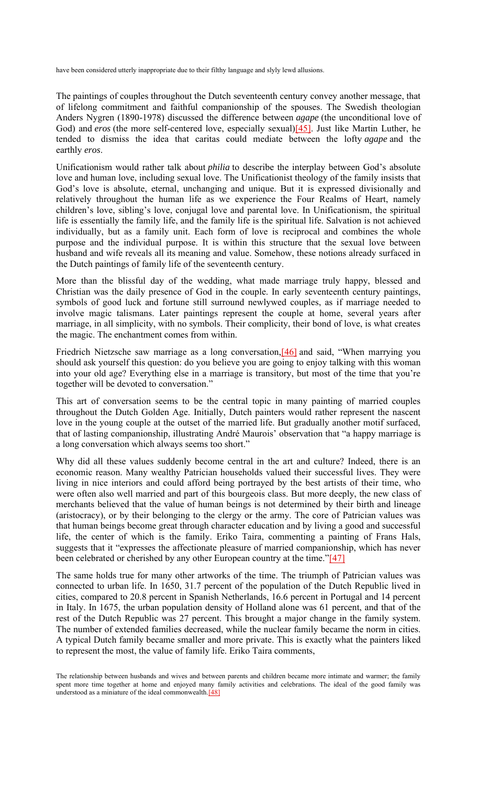have been considered utterly inappropriate due to their filthy language and slyly lewd allusions.

The paintings of couples throughout the Dutch seventeenth century convey another message, that of lifelong commitment and faithful companionship of the spouses. The Swedish theologian Anders Nygren (1890-1978) discussed the difference between *agape* (the unconditional love of God) and *eros* (the more self-centered love, especially sexual)[45]. Just like Martin Luther, he tended to dismiss the idea that caritas could mediate between the lofty *agape* and the earthly *eros*.

Unificationism would rather talk about *philia* to describe the interplay between God's absolute love and human love, including sexual love. The Unificationist theology of the family insists that God's love is absolute, eternal, unchanging and unique. But it is expressed divisionally and relatively throughout the human life as we experience the Four Realms of Heart, namely children's love, sibling's love, conjugal love and parental love. In Unificationism, the spiritual life is essentially the family life, and the family life is the spiritual life. Salvation is not achieved individually, but as a family unit. Each form of love is reciprocal and combines the whole purpose and the individual purpose. It is within this structure that the sexual love between husband and wife reveals all its meaning and value. Somehow, these notions already surfaced in the Dutch paintings of family life of the seventeenth century.

More than the blissful day of the wedding, what made marriage truly happy, blessed and Christian was the daily presence of God in the couple. In early seventeenth century paintings, symbols of good luck and fortune still surround newlywed couples, as if marriage needed to involve magic talismans. Later paintings represent the couple at home, several years after marriage, in all simplicity, with no symbols. Their complicity, their bond of love, is what creates the magic. The enchantment comes from within.

Friedrich Nietzsche saw marriage as a long conversation, [46] and said, "When marrying you should ask yourself this question: do you believe you are going to enjoy talking with this woman into your old age? Everything else in a marriage is transitory, but most of the time that you're together will be devoted to conversation."

This art of conversation seems to be the central topic in many painting of married couples throughout the Dutch Golden Age. Initially, Dutch painters would rather represent the nascent love in the young couple at the outset of the married life. But gradually another motif surfaced, that of lasting companionship, illustrating André Maurois' observation that "a happy marriage is a long conversation which always seems too short."

Why did all these values suddenly become central in the art and culture? Indeed, there is an economic reason. Many wealthy Patrician households valued their successful lives. They were living in nice interiors and could afford being portrayed by the best artists of their time, who were often also well married and part of this bourgeois class. But more deeply, the new class of merchants believed that the value of human beings is not determined by their birth and lineage (aristocracy), or by their belonging to the clergy or the army. The core of Patrician values was that human beings become great through character education and by living a good and successful life, the center of which is the family. Eriko Taira, commenting a painting of Frans Hals, suggests that it "expresses the affectionate pleasure of married companionship, which has never been celebrated or cherished by any other European country at the time."[47]

The same holds true for many other artworks of the time. The triumph of Patrician values was connected to urban life. In 1650, 31.7 percent of the population of the Dutch Republic lived in cities, compared to 20.8 percent in Spanish Netherlands, 16.6 percent in Portugal and 14 percent in Italy. In 1675, the urban population density of Holland alone was 61 percent, and that of the rest of the Dutch Republic was 27 percent. This brought a major change in the family system. The number of extended families decreased, while the nuclear family became the norm in cities. A typical Dutch family became smaller and more private. This is exactly what the painters liked to represent the most, the value of family life. Eriko Taira comments,

The relationship between husbands and wives and between parents and children became more intimate and warmer; the family spent more time together at home and enjoyed many family activities and celebrations. The ideal of the good family was understood as a miniature of the ideal commonwealth.<sup>[48]</sup>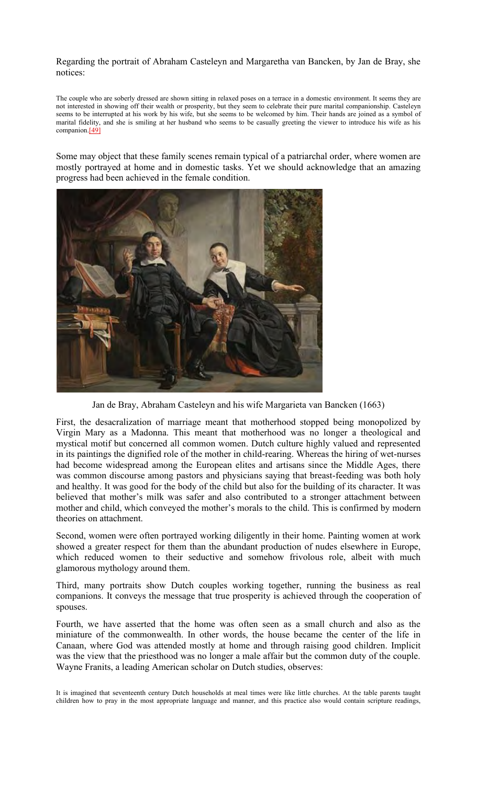Regarding the portrait of Abraham Casteleyn and Margaretha van Bancken, by Jan de Bray, she notices:

The couple who are soberly dressed are shown sitting in relaxed poses on a terrace in a domestic environment. It seems they are not interested in showing off their wealth or prosperity, but they seem to celebrate their pure marital companionship. Casteleyn seems to be interrupted at his work by his wife, but she seems to be welcomed by him. Their hands are joined as a symbol of marital fidelity, and she is smiling at her husband who seems to be casually greeting the viewer to introduce his wife as his companion.[49]

Some may object that these family scenes remain typical of a patriarchal order, where women are mostly portrayed at home and in domestic tasks. Yet we should acknowledge that an amazing progress had been achieved in the female condition.



Jan de Bray, Abraham Casteleyn and his wife Margarieta van Bancken (1663)

First, the desacralization of marriage meant that motherhood stopped being monopolized by Virgin Mary as a Madonna. This meant that motherhood was no longer a theological and mystical motif but concerned all common women. Dutch culture highly valued and represented in its paintings the dignified role of the mother in child-rearing. Whereas the hiring of wet-nurses had become widespread among the European elites and artisans since the Middle Ages, there was common discourse among pastors and physicians saying that breast-feeding was both holy and healthy. It was good for the body of the child but also for the building of its character. It was believed that mother's milk was safer and also contributed to a stronger attachment between mother and child, which conveyed the mother's morals to the child. This is confirmed by modern theories on attachment.

Second, women were often portrayed working diligently in their home. Painting women at work showed a greater respect for them than the abundant production of nudes elsewhere in Europe, which reduced women to their seductive and somehow frivolous role, albeit with much glamorous mythology around them.

Third, many portraits show Dutch couples working together, running the business as real companions. It conveys the message that true prosperity is achieved through the cooperation of spouses.

Fourth, we have asserted that the home was often seen as a small church and also as the miniature of the commonwealth. In other words, the house became the center of the life in Canaan, where God was attended mostly at home and through raising good children. Implicit was the view that the priesthood was no longer a male affair but the common duty of the couple. Wayne Franits, a leading American scholar on Dutch studies, observes:

It is imagined that seventeenth century Dutch households at meal times were like little churches. At the table parents taught children how to pray in the most appropriate language and manner, and this practice also would contain scripture readings,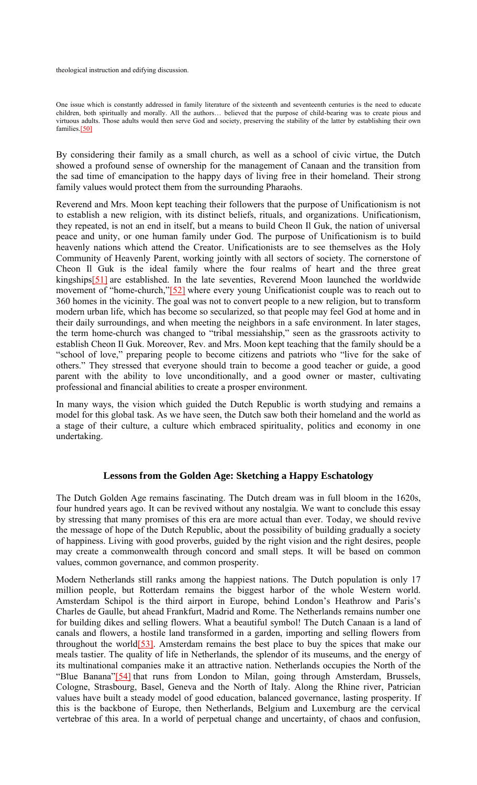theological instruction and edifying discussion.

One issue which is constantly addressed in family literature of the sixteenth and seventeenth centuries is the need to educate children, both spiritually and morally. All the authors… believed that the purpose of child-bearing was to create pious and virtuous adults. Those adults would then serve God and society, preserving the stability of the latter by establishing their own families.[50]

By considering their family as a small church, as well as a school of civic virtue, the Dutch showed a profound sense of ownership for the management of Canaan and the transition from the sad time of emancipation to the happy days of living free in their homeland. Their strong family values would protect them from the surrounding Pharaohs.

Reverend and Mrs. Moon kept teaching their followers that the purpose of Unificationism is not to establish a new religion, with its distinct beliefs, rituals, and organizations. Unificationism, they repeated, is not an end in itself, but a means to build Cheon Il Guk, the nation of universal peace and unity, or one human family under God. The purpose of Unificationism is to build heavenly nations which attend the Creator. Unificationists are to see themselves as the Holy Community of Heavenly Parent, working jointly with all sectors of society. The cornerstone of Cheon Il Guk is the ideal family where the four realms of heart and the three great kingships[51] are established. In the late seventies, Reverend Moon launched the worldwide movement of "home-church,"[52] where every young Unificationist couple was to reach out to 360 homes in the vicinity. The goal was not to convert people to a new religion, but to transform modern urban life, which has become so secularized, so that people may feel God at home and in their daily surroundings, and when meeting the neighbors in a safe environment. In later stages, the term home-church was changed to "tribal messiahship," seen as the grassroots activity to establish Cheon Il Guk. Moreover, Rev. and Mrs. Moon kept teaching that the family should be a "school of love," preparing people to become citizens and patriots who "live for the sake of others." They stressed that everyone should train to become a good teacher or guide, a good parent with the ability to love unconditionally, and a good owner or master, cultivating professional and financial abilities to create a prosper environment.

In many ways, the vision which guided the Dutch Republic is worth studying and remains a model for this global task. As we have seen, the Dutch saw both their homeland and the world as a stage of their culture, a culture which embraced spirituality, politics and economy in one undertaking.

## **Lessons from the Golden Age: Sketching a Happy Eschatology**

The Dutch Golden Age remains fascinating. The Dutch dream was in full bloom in the 1620s, four hundred years ago. It can be revived without any nostalgia. We want to conclude this essay by stressing that many promises of this era are more actual than ever. Today, we should revive the message of hope of the Dutch Republic, about the possibility of building gradually a society of happiness. Living with good proverbs, guided by the right vision and the right desires, people may create a commonwealth through concord and small steps. It will be based on common values, common governance, and common prosperity.

Modern Netherlands still ranks among the happiest nations. The Dutch population is only 17 million people, but Rotterdam remains the biggest harbor of the whole Western world. Amsterdam Schipol is the third airport in Europe, behind London's Heathrow and Paris's Charles de Gaulle, but ahead Frankfurt, Madrid and Rome. The Netherlands remains number one for building dikes and selling flowers. What a beautiful symbol! The Dutch Canaan is a land of canals and flowers, a hostile land transformed in a garden, importing and selling flowers from throughout the world[53]. Amsterdam remains the best place to buy the spices that make our meals tastier. The quality of life in Netherlands, the splendor of its museums, and the energy of its multinational companies make it an attractive nation. Netherlands occupies the North of the "Blue Banana"[54] that runs from London to Milan, going through Amsterdam, Brussels, Cologne, Strasbourg, Basel, Geneva and the North of Italy. Along the Rhine river, Patrician values have built a steady model of good education, balanced governance, lasting prosperity. If this is the backbone of Europe, then Netherlands, Belgium and Luxemburg are the cervical vertebrae of this area. In a world of perpetual change and uncertainty, of chaos and confusion,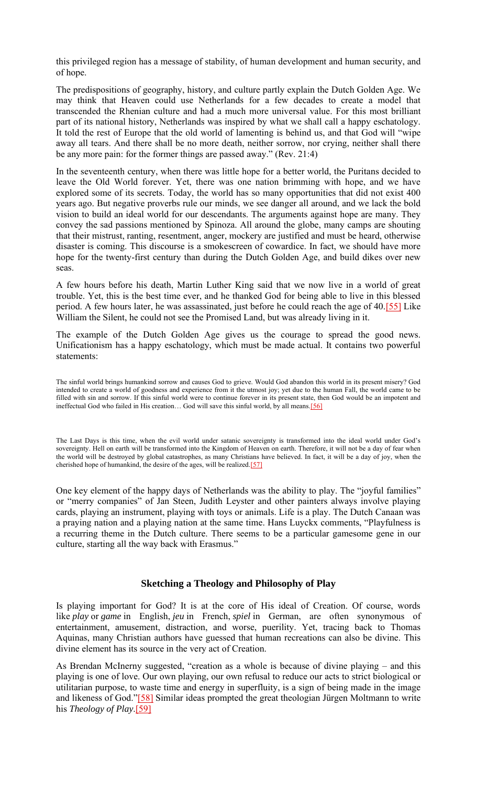this privileged region has a message of stability, of human development and human security, and of hope.

The predispositions of geography, history, and culture partly explain the Dutch Golden Age. We may think that Heaven could use Netherlands for a few decades to create a model that transcended the Rhenian culture and had a much more universal value. For this most brilliant part of its national history, Netherlands was inspired by what we shall call a happy eschatology. It told the rest of Europe that the old world of lamenting is behind us, and that God will "wipe away all tears. And there shall be no more death, neither sorrow, nor crying, neither shall there be any more pain: for the former things are passed away." (Rev. 21:4)

In the seventeenth century, when there was little hope for a better world, the Puritans decided to leave the Old World forever. Yet, there was one nation brimming with hope, and we have explored some of its secrets. Today, the world has so many opportunities that did not exist 400 years ago. But negative proverbs rule our minds, we see danger all around, and we lack the bold vision to build an ideal world for our descendants. The arguments against hope are many. They convey the sad passions mentioned by Spinoza. All around the globe, many camps are shouting that their mistrust, ranting, resentment, anger, mockery are justified and must be heard, otherwise disaster is coming. This discourse is a smokescreen of cowardice. In fact, we should have more hope for the twenty-first century than during the Dutch Golden Age, and build dikes over new seas.

A few hours before his death, Martin Luther King said that we now live in a world of great trouble. Yet, this is the best time ever, and he thanked God for being able to live in this blessed period. A few hours later, he was assassinated, just before he could reach the age of 40.[55] Like William the Silent, he could not see the Promised Land, but was already living in it.

The example of the Dutch Golden Age gives us the courage to spread the good news. Unificationism has a happy eschatology, which must be made actual. It contains two powerful statements:

The sinful world brings humankind sorrow and causes God to grieve. Would God abandon this world in its present misery? God intended to create a world of goodness and experience from it the utmost joy; yet due to the human Fall, the world came to be filled with sin and sorrow. If this sinful world were to continue forever in its present state, then God would be an impotent and ineffectual God who failed in His creation... God will save this sinful world, by all means.[56]

The Last Days is this time, when the evil world under satanic sovereignty is transformed into the ideal world under God's sovereignty. Hell on earth will be transformed into the Kingdom of Heaven on earth. Therefore, it will not be a day of fear when the world will be destroyed by global catastrophes, as many Christians have believed. In fact, it will be a day of joy, when the cherished hope of humankind, the desire of the ages, will be realized.[57]

One key element of the happy days of Netherlands was the ability to play. The "joyful families" or "merry companies" of Jan Steen, Judith Leyster and other painters always involve playing cards, playing an instrument, playing with toys or animals. Life is a play. The Dutch Canaan was a praying nation and a playing nation at the same time. Hans Luyckx comments, "Playfulness is a recurring theme in the Dutch culture. There seems to be a particular gamesome gene in our culture, starting all the way back with Erasmus."

## **Sketching a Theology and Philosophy of Play**

Is playing important for God? It is at the core of His ideal of Creation. Of course, words like *play* or *game* in English, *jeu* in French, *spiel* in German, are often synonymous of entertainment, amusement, distraction, and worse, puerility. Yet, tracing back to Thomas Aquinas, many Christian authors have guessed that human recreations can also be divine. This divine element has its source in the very act of Creation.

As Brendan McInerny suggested, "creation as a whole is because of divine playing – and this playing is one of love. Our own playing, our own refusal to reduce our acts to strict biological or utilitarian purpose, to waste time and energy in superfluity, is a sign of being made in the image and likeness of God."[58] Similar ideas prompted the great theologian Jürgen Moltmann to write his *Theology of Play*.[59]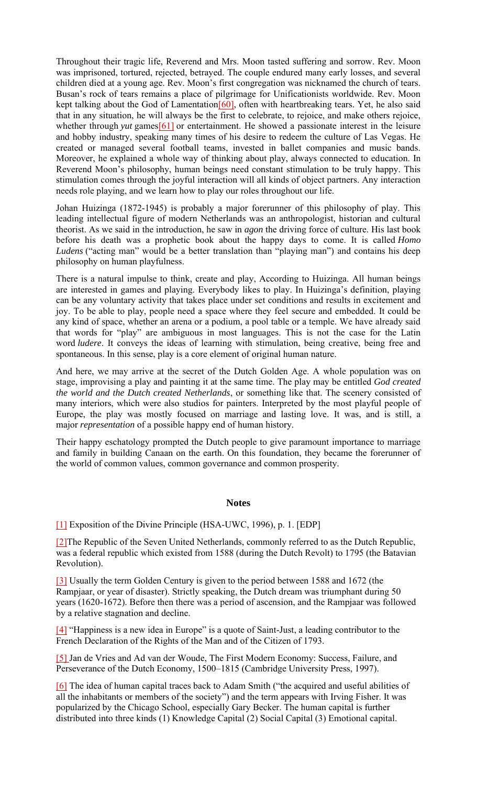Throughout their tragic life, Reverend and Mrs. Moon tasted suffering and sorrow. Rev. Moon was imprisoned, tortured, rejected, betrayed. The couple endured many early losses, and several children died at a young age. Rev. Moon's first congregation was nicknamed the church of tears. Busan's rock of tears remains a place of pilgrimage for Unificationists worldwide. Rev. Moon kept talking about the God of Lamentation<sup>[60]</sup>, often with heartbreaking tears. Yet, he also said that in any situation, he will always be the first to celebrate, to rejoice, and make others rejoice, whether through *yut* games[61] or entertainment. He showed a passionate interest in the leisure and hobby industry, speaking many times of his desire to redeem the culture of Las Vegas. He created or managed several football teams, invested in ballet companies and music bands. Moreover, he explained a whole way of thinking about play, always connected to education. In Reverend Moon's philosophy, human beings need constant stimulation to be truly happy. This stimulation comes through the joyful interaction will all kinds of object partners. Any interaction needs role playing, and we learn how to play our roles throughout our life.

Johan Huizinga (1872-1945) is probably a major forerunner of this philosophy of play. This leading intellectual figure of modern Netherlands was an anthropologist, historian and cultural theorist. As we said in the introduction, he saw in *agon* the driving force of culture. His last book before his death was a prophetic book about the happy days to come. It is called *Homo Ludens* ("acting man" would be a better translation than "playing man") and contains his deep philosophy on human playfulness.

There is a natural impulse to think, create and play, According to Huizinga. All human beings are interested in games and playing. Everybody likes to play. In Huizinga's definition, playing can be any voluntary activity that takes place under set conditions and results in excitement and joy. To be able to play, people need a space where they feel secure and embedded. It could be any kind of space, whether an arena or a podium, a pool table or a temple. We have already said that words for "play" are ambiguous in most languages. This is not the case for the Latin word *ludere*. It conveys the ideas of learning with stimulation, being creative, being free and spontaneous. In this sense, play is a core element of original human nature.

And here, we may arrive at the secret of the Dutch Golden Age. A whole population was on stage, improvising a play and painting it at the same time. The play may be entitled *God created the world and the Dutch created Netherlands*, or something like that. The scenery consisted of many interiors, which were also studios for painters. Interpreted by the most playful people of Europe, the play was mostly focused on marriage and lasting love. It was, and is still, a major *representation* of a possible happy end of human history.

Their happy eschatology prompted the Dutch people to give paramount importance to marriage and family in building Canaan on the earth. On this foundation, they became the forerunner of the world of common values, common governance and common prosperity.

#### **Notes**

## [1] Exposition of the Divine Principle (HSA-UWC, 1996), p. 1. [EDP]

[2]The Republic of the Seven United Netherlands, commonly referred to as the Dutch Republic, was a federal republic which existed from 1588 (during the Dutch Revolt) to 1795 (the Batavian Revolution).

[3] Usually the term Golden Century is given to the period between 1588 and 1672 (the Rampjaar, or year of disaster). Strictly speaking, the Dutch dream was triumphant during 50 years (1620-1672). Before then there was a period of ascension, and the Rampjaar was followed by a relative stagnation and decline.

[4] "Happiness is a new idea in Europe" is a quote of Saint-Just, a leading contributor to the French Declaration of the Rights of the Man and of the Citizen of 1793.

[5] Jan de Vries and Ad van der Woude, The First Modern Economy: Success, Failure, and Perseverance of the Dutch Economy, 1500–1815 (Cambridge University Press, 1997).

[6] The idea of human capital traces back to Adam Smith ("the acquired and useful abilities of all the inhabitants or members of the society") and the term appears with Irving Fisher. It was popularized by the Chicago School, especially Gary Becker. The human capital is further distributed into three kinds (1) Knowledge Capital (2) Social Capital (3) Emotional capital.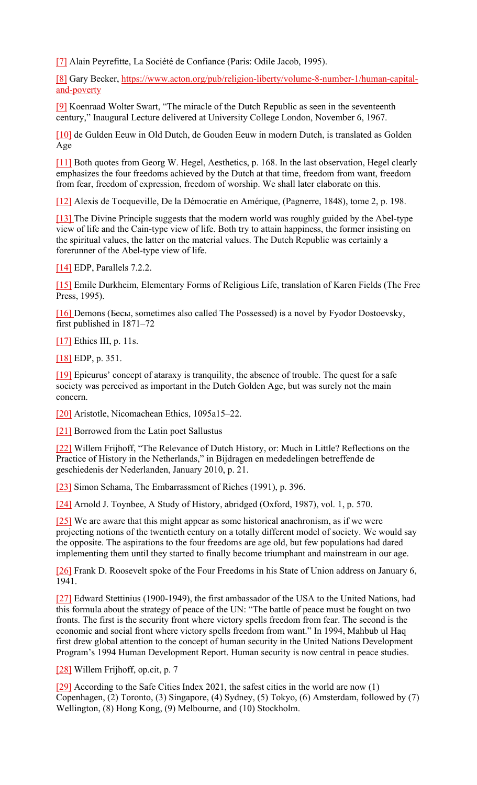[7] Alain Peyrefitte, La Société de Confiance (Paris: Odile Jacob, 1995).

[8] Gary Becker, https://www.acton.org/pub/religion-liberty/volume-8-number-1/human-capitaland-poverty

[9] Koenraad Wolter Swart, "The miracle of the Dutch Republic as seen in the seventeenth century," Inaugural Lecture delivered at University College London, November 6, 1967.

[10] de Gulden Eeuw in Old Dutch, de Gouden Eeuw in modern Dutch, is translated as Golden Age

[11] Both quotes from Georg W. Hegel, Aesthetics, p. 168. In the last observation, Hegel clearly emphasizes the four freedoms achieved by the Dutch at that time, freedom from want, freedom from fear, freedom of expression, freedom of worship. We shall later elaborate on this.

[12] Alexis de Tocqueville, De la Démocratie en Amérique, (Pagnerre, 1848), tome 2, p. 198.

[13] The Divine Principle suggests that the modern world was roughly guided by the Abel-type view of life and the Cain-type view of life. Both try to attain happiness, the former insisting on the spiritual values, the latter on the material values. The Dutch Republic was certainly a forerunner of the Abel-type view of life.

[14] EDP, Parallels 7.2.2.

[15] Emile Durkheim, Elementary Forms of Religious Life, translation of Karen Fields (The Free Press, 1995).

[16] Demons (Бесы, sometimes also called The Possessed) is a novel by Fyodor Dostoevsky, first published in 1871–72

[17] Ethics III, p. 11s.

[18] EDP, p. 351.

[19] Epicurus' concept of ataraxy is tranquility, the absence of trouble. The quest for a safe society was perceived as important in the Dutch Golden Age, but was surely not the main concern.

[20] Aristotle, Nicomachean Ethics, 1095a15–22.

[21] Borrowed from the Latin poet Sallustus

[22] Willem Frijhoff, "The Relevance of Dutch History, or: Much in Little? Reflections on the Practice of History in the Netherlands," in Bijdragen en mededelingen betreffende de geschiedenis der Nederlanden, January 2010, p. 21.

[23] Simon Schama, The Embarrassment of Riches (1991), p. 396.

[24] Arnold J. Toynbee, A Study of History, abridged (Oxford, 1987), vol. 1, p. 570.

[25] We are aware that this might appear as some historical anachronism, as if we were projecting notions of the twentieth century on a totally different model of society. We would say the opposite. The aspirations to the four freedoms are age old, but few populations had dared implementing them until they started to finally become triumphant and mainstream in our age.

[26] Frank D. Roosevelt spoke of the Four Freedoms in his State of Union address on January 6, 1941.

[27] Edward Stettinius (1900-1949), the first ambassador of the USA to the United Nations, had this formula about the strategy of peace of the UN: "The battle of peace must be fought on two fronts. The first is the security front where victory spells freedom from fear. The second is the economic and social front where victory spells freedom from want." In 1994, Mahbub ul Haq first drew global attention to the concept of human security in the United Nations Development Program's 1994 Human Development Report. Human security is now central in peace studies.

[28] Willem Frijhoff, op.cit, p. 7

[29] According to the Safe Cities Index 2021, the safest cities in the world are now (1) Copenhagen, (2) Toronto, (3) Singapore, (4) Sydney, (5) Tokyo, (6) Amsterdam, followed by (7) Wellington, (8) Hong Kong, (9) Melbourne, and (10) Stockholm.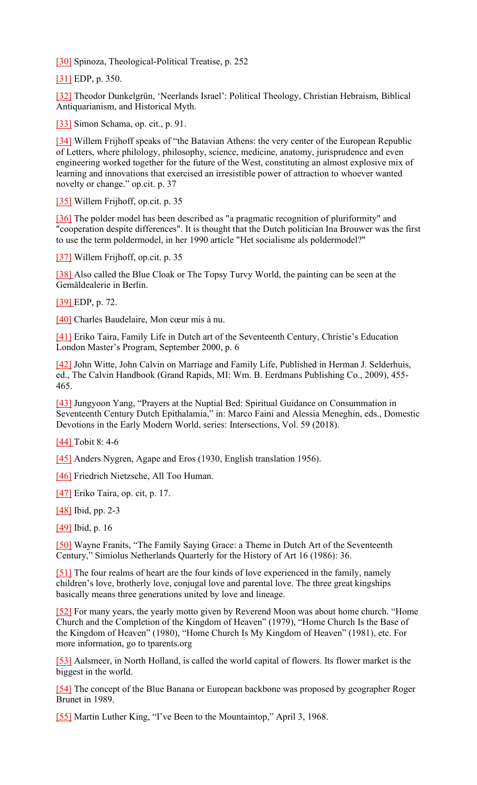[30] Spinoza, Theological-Political Treatise, p. 252

[31] EDP, p. 350.

[32] Theodor Dunkelgrün, 'Neerlands Israel': Political Theology, Christian Hebraism, Biblical Antiquarianism, and Historical Myth.

[33] Simon Schama, op. cit., p. 91.

[34] Willem Frijhoff speaks of "the Batavian Athens: the very center of the European Republic of Letters, where philology, philosophy, science, medicine, anatomy, jurisprudence and even engineering worked together for the future of the West, constituting an almost explosive mix of learning and innovations that exercised an irresistible power of attraction to whoever wanted novelty or change." op.cit. p. 37

[35] Willem Frijhoff, op.cit. p. 35

[36] The polder model has been described as "a pragmatic recognition of pluriformity" and "cooperation despite differences". It is thought that the Dutch politician Ina Brouwer was the first to use the term poldermodel, in her 1990 article "Het socialisme als poldermodel?"

[37] Willem Frijhoff, op.cit. p. 35

[38] Also called the Blue Cloak or The Topsy Turvy World, the painting can be seen at the Gemäldealerie in Berlin.

[39] EDP, p. 72.

[40] Charles Baudelaire, Mon cœur mis à nu.

[41] Eriko Taira, Family Life in Dutch art of the Seventeenth Century, Christie's Education London Master's Program, September 2000, p. 6

[42] John Witte, John Calvin on Marriage and Family Life, Published in Herman J. Selderhuis, ed., The Calvin Handbook (Grand Rapids, MI: Wm. B. Eerdmans Publishing Co., 2009), 455- 465.

[43] Jungyoon Yang, "Prayers at the Nuptial Bed: Spiritual Guidance on Consummation in Seventeenth Century Dutch Epithalamia," in: Marco Faini and Alessia Meneghin, eds., Domestic Devotions in the Early Modern World, series: Intersections, Vol. 59 (2018).

[44] Tobit 8: 4-6

[45] Anders Nygren, Agape and Eros (1930, English translation 1956).

[46] Friedrich Nietzsche, All Too Human.

[47] Eriko Taira, op. cit, p. 17.

[48] Ibid, pp. 2-3

[49] Ibid, p. 16

[50] Wayne Franits, "The Family Saying Grace: a Theme in Dutch Art of the Seventeenth Century," Simiolus Netherlands Quarterly for the History of Art 16 (1986): 36.

[51] The four realms of heart are the four kinds of love experienced in the family, namely children's love, brotherly love, conjugal love and parental love. The three great kingships basically means three generations united by love and lineage.

[52] For many years, the yearly motto given by Reverend Moon was about home church. "Home Church and the Completion of the Kingdom of Heaven" (1979), "Home Church Is the Base of the Kingdom of Heaven" (1980), "Home Church Is My Kingdom of Heaven" (1981), etc. For more information, go to tparents.org

[53] Aalsmeer, in North Holland, is called the world capital of flowers. Its flower market is the biggest in the world.

[54] The concept of the Blue Banana or European backbone was proposed by geographer Roger Brunet in 1989.

[55] Martin Luther King, "I've Been to the Mountaintop," April 3, 1968.